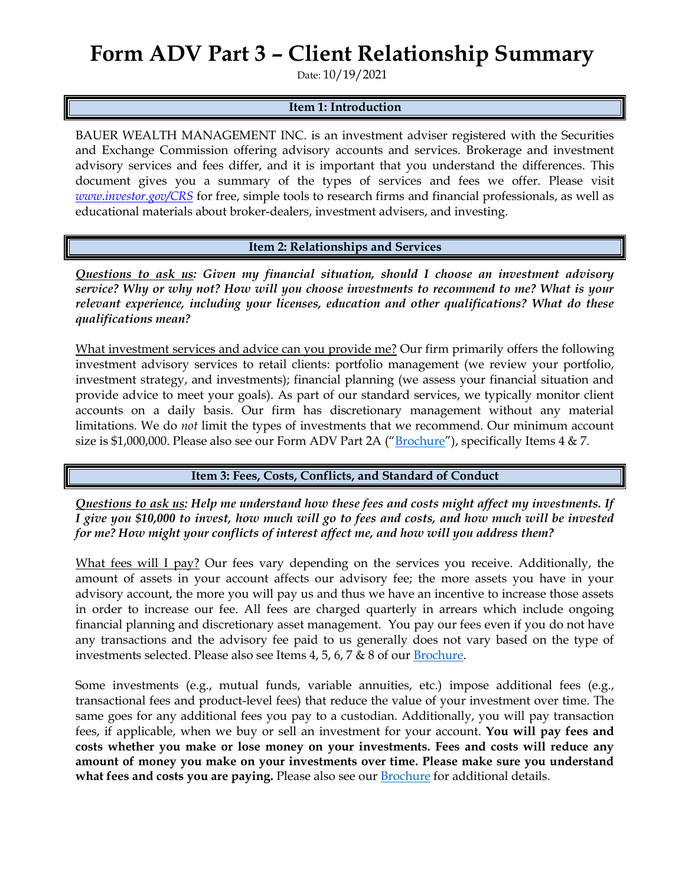## **Form ADV Part 3 – Client Relationship Summary**

Date: 10/19/2021

## **Item 1: Introduction**

BAUER WEALTH MANAGEMENT INC. is an investment adviser registered with the Securities and Exchange Commission offering advisory accounts and services. Brokerage and investment advisory services and fees differ, and it is important that you understand the differences. This document gives you a summary of the types of services and fees we offer. Please visit *[www.investor.gov/CRS](http://www.investor.gov/CRS)* for free, simple tools to research firms and financial professionals, as well as educational materials about broker-dealers, investment advisers, and investing.

**Item 2: Relationships and Services**

*Questions to ask us: Given my financial situation, should I choose an investment advisory service? Why or why not? How will you choose investments to recommend to me? What is your relevant experience, including your licenses, education and other qualifications? What do these qualifications mean?*

What investment services and advice can you provide me? Our firm primarily offers the following investment advisory services to retail clients: portfolio management (we review your portfolio, investment strategy, and investments); financial planning (we assess your financial situation and provide advice to meet your goals). As part of our standard services, we typically monitor client accounts on a daily basis. Our firm has discretionary management without any material limitations. We do *not* limit the types of investments that we recommend. Our minimum account size is \$1,000,000. Please also see our Form ADV Part 2A ("[Brochure](https://adviserinfo.sec.gov/firm/summary/152977)"), specifically Items  $4 \& 7$ .

## **Item 3: Fees, Costs, Conflicts, and Standard of Conduct**

*Questions to ask us: Help me understand how these fees and costs might affect my investments. If I give you \$10,000 to invest, how much will go to fees and costs, and how much will be invested for me? How might your conflicts of interest affect me, and how will you address them?* 

What fees will I pay? Our fees vary depending on the services you receive. Additionally, the amount of assets in your account affects our advisory fee; the more assets you have in your advisory account, the more you will pay us and thus we have an incentive to increase those assets in order to increase our fee. All fees are charged quarterly in arrears which include ongoing financial planning and discretionary asset management. You pay our fees even if you do not have any transactions and the advisory fee paid to us generally does not vary based on the type of investments selected. Please also see Items 4, 5, 6, 7 & 8 of our [Brochure.](https://adviserinfo.sec.gov/firm/summary/152977)

Some investments (e.g., mutual funds, variable annuities, etc.) impose additional fees (e.g., transactional fees and product-level fees) that reduce the value of your investment over time. The same goes for any additional fees you pay to a custodian. Additionally, you will pay transaction fees, if applicable, when we buy or sell an investment for your account. **You will pay fees and costs whether you make or lose money on your investments. Fees and costs will reduce any amount of money you make on your investments over time. Please make sure you understand what fees and costs you are paying.** Please also see our [Brochure](https://adviserinfo.sec.gov/firm/summary/152977) for additional details.